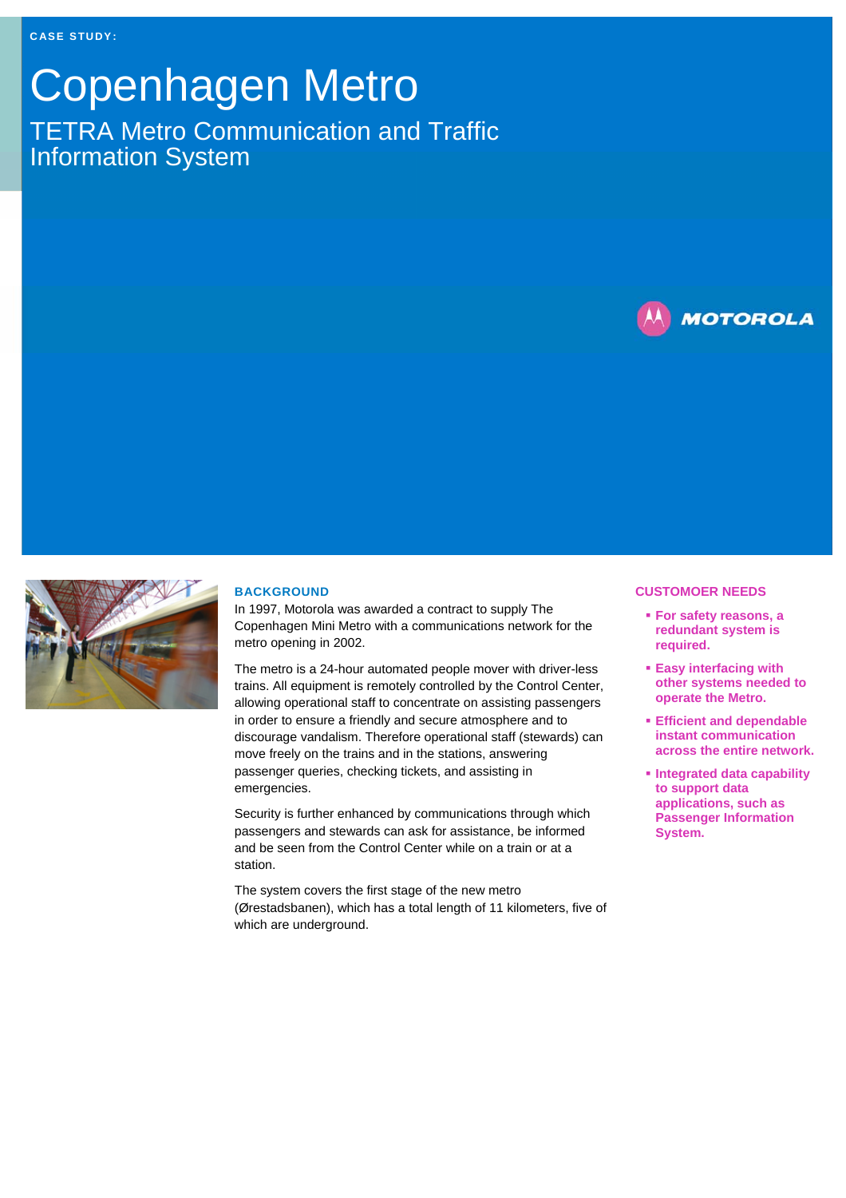## Copenhagen Metro TETRA Metro Communication and Traffic Information System





## **BACKGROUND**

In 1997, Motorola was awarded a contract to supply The Copenhagen Mini Metro with a communications network for the metro opening in 2002.

The metro is a 24-hour automated people mover with driver-less trains. All equipment is remotely controlled by the Control Center, allowing operational staff to concentrate on assisting passengers in order to ensure a friendly and secure atmosphere and to discourage vandalism. Therefore operational staff (stewards) can move freely on the trains and in the stations, answering passenger queries, checking tickets, and assisting in emergencies.

Security is further enhanced by communications through which passengers and stewards can ask for assistance, be informed and be seen from the Control Center while on a train or at a station.

The system covers the first stage of the new metro (Ørestadsbanen), which has a total length of 11 kilometers, five of which are underground.

## **CUSTOMOER NEEDS**

- **For safety reasons, a redundant system is required.**
- **Easy interfacing with other systems needed to operate the Metro.**
- **Efficient and dependable instant communication across the entire network.**
- **Integrated data capability to support data applications, such as Passenger Information System.**